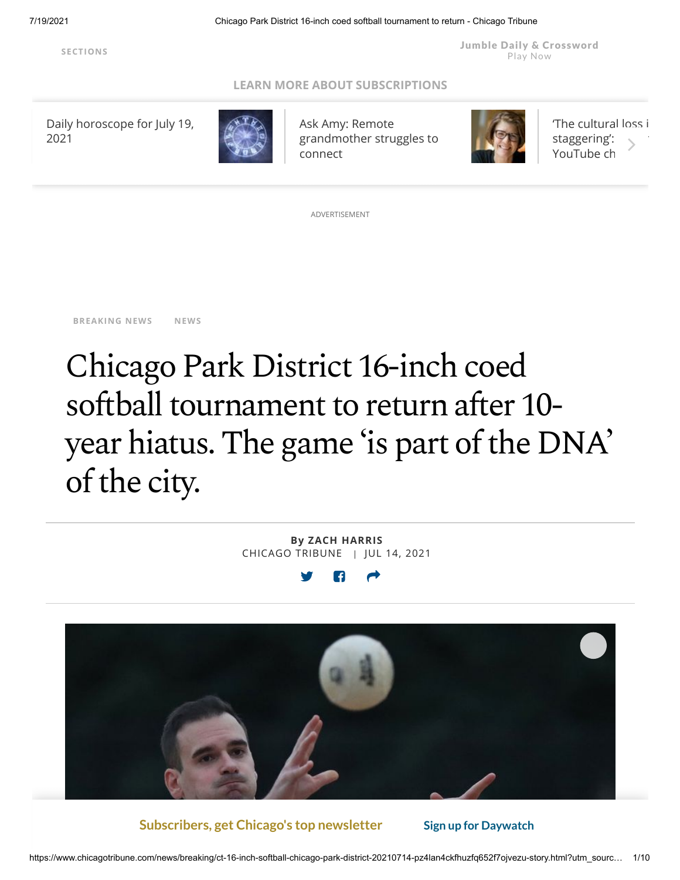Jumble Daily & [Crossword](https://fun.chicagotribune.com/#int=button_digital_games_landing_) Play Now

### **[LEARN MORE ABOUT SUBSCRIPTIONS](https://www.chicagotribune.com/news/ct-cb-chicago-tribune-story.html#int=advisory_digital_leverage-subscription__&nt=screamer)**

[Daily horoscope for July 19,](https://www.chicagotribune.com/horoscopes/sns-daily-horoscopes-07192021-20210719-i6vf4nk2pjaxpbqqkycjjxvute-story.html#nt=tertiarynavbar&nt=ticker) 2021



Ask Amy: Remote [grandmother struggles to](https://www.chicagotribune.com/lifestyles/ask-amy/ct-aud-ask-amy-0719-20210719-ux2fshcqobbslhzjfsg2vamsza-story.html#nt=tertiarynavbar&nt=ticker) connect



['The cultural loss i](https://www.chicagotribune.com/news/breaking/ct-chicago-television-commercials-vcr-endangered-20210716-u2z45nh5vzevxpkbx2pmcal4ri-story.html#nt=tertiarynavbar&nt=ticker) staggering': YouTube ch

ADVERTISEMENT

**[BREAKING](https://www.chicagotribune.com/news/breaking/#nt=taxonomy-article) NEWS [NEWS](https://www.chicagotribune.com/news/#nt=taxonomy-article)**

# Chicago Park District 16-inch coed softball tournament to return after 10year hiatus. The game 'is part of the DNA' of the city.

**By ZACH [HARRIS](https://www.chicagotribune.com/ct-zach-harris-staff.html#nt=byline)** CHICAGO TRIBUNE | JUL 14, 2021



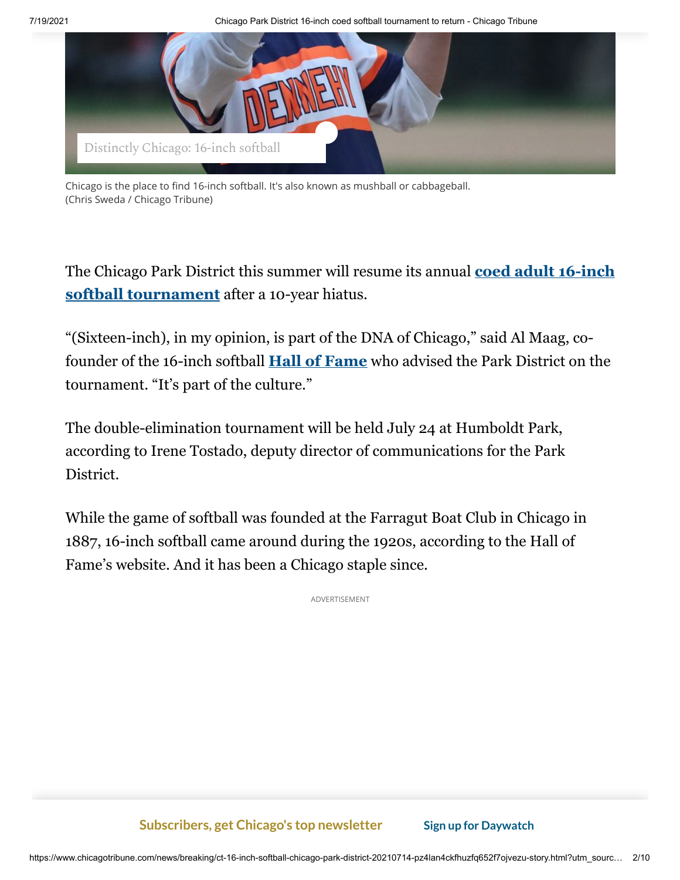7/19/2021 Chicago Park District 16-inch coed softball tournament to return - Chicago Tribune



Chicago is the place to find 16-inch softball. It's also known as mushball or cabbageball. (Chris Sweda / Chicago Tribune)

[The Chicago Park District this summer will resume its annual](https://www.chicagoparkdistrict.com/ASCT) **coed adult 16-inch softball tournament** after a 10-year hiatus.

"(Sixteen-inch), in my opinion, is part of the DNA of Chicago," said Al Maag, cofounder of the 16-inch softball **[Hall of Fame](https://16inchsoftballhof.com/)** who advised the Park District on the tournament. "It's part of the culture."

The double-elimination tournament will be held July 24 at Humboldt Park, according to Irene Tostado, deputy director of communications for the Park District.

While the game of softball was founded at the Farragut Boat Club in Chicago in 1887, 16-inch softball came around during the 1920s, according to the Hall of Fame's website. And it has been a Chicago staple since.

ADVERTISEMENT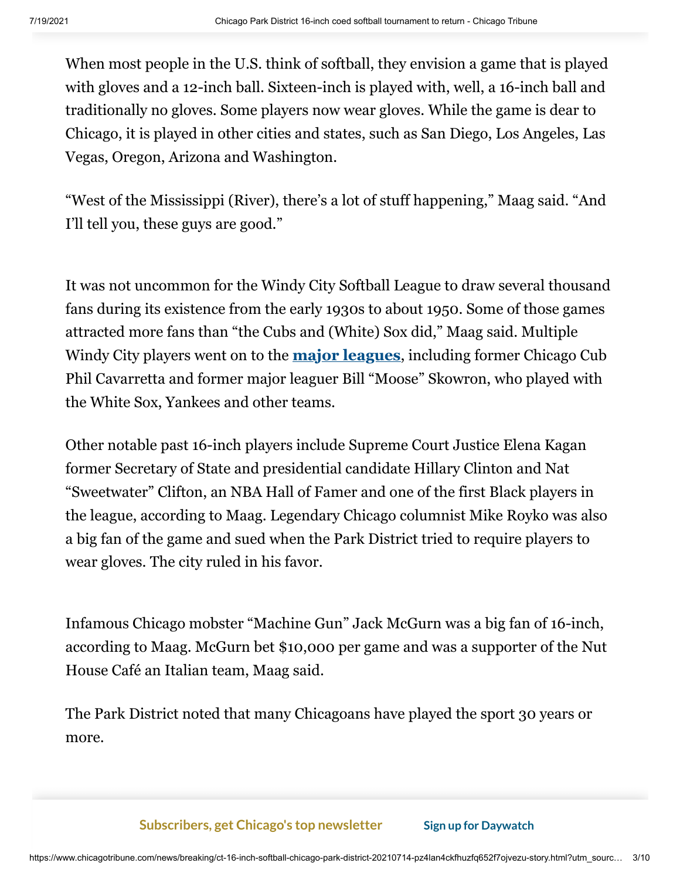When most people in the U.S. think of softball, they envision a game that is played with gloves and a 12-inch ball. Sixteen-inch is played with, well, a 16-inch ball and traditionally no gloves. Some players now wear gloves. While the game is dear to Chicago, it is played in other cities and states, such as San Diego, Los Angeles, Las Vegas, Oregon, Arizona and Washington.

"West of the Mississippi (River), there's a lot of stuff happening," Maag said. "And I'll tell you, these guys are good."

It was not uncommon for the Windy City Softball League to draw several thousand fans during its existence from the early 1930s to about 1950. Some of those games attracted more fans than "the Cubs and (White) Sox did," Maag said. Multiple Windy City players went on to the **[major leagues](https://www.chicagotribune.com/news/ct-xpm-2001-06-14-0106160247-story.html)**, including former Chicago Cub Phil Cavarretta and former major leaguer Bill "Moose" Skowron, who played with the White Sox, Yankees and other teams.

Other notable past 16-inch players include Supreme Court Justice Elena Kagan former Secretary of State and presidential candidate Hillary Clinton and Nat "Sweetwater" Clifton, an NBA Hall of Famer and one of the first Black players in the league, according to Maag. Legendary Chicago columnist Mike Royko was also a big fan of the game and sued when the Park District tried to require players to wear gloves. The city ruled in his favor.

Infamous Chicago mobster "Machine Gun" Jack McGurn was a big fan of 16-inch, according to Maag. McGurn bet \$10,000 per game and was a supporter of the Nut House Café an Italian team, Maag said.

The Park District noted that many Chicagoans have played the sport 30 years or more.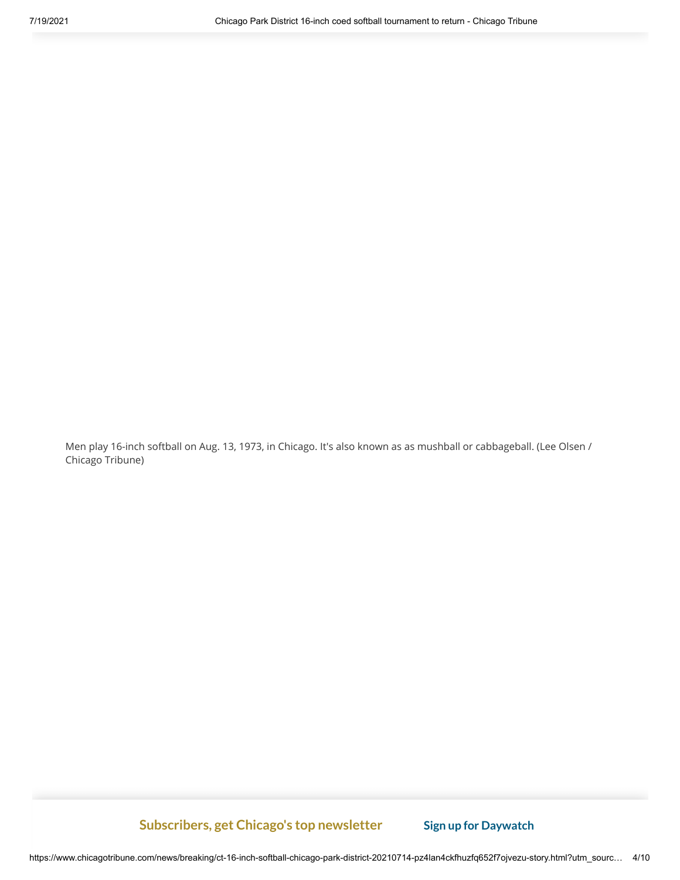Men play 16-inch softball on Aug. 13, 1973, in Chicago. It's also known as as mushball or cabbageball. (Lee Olsen / Chicago Tribune)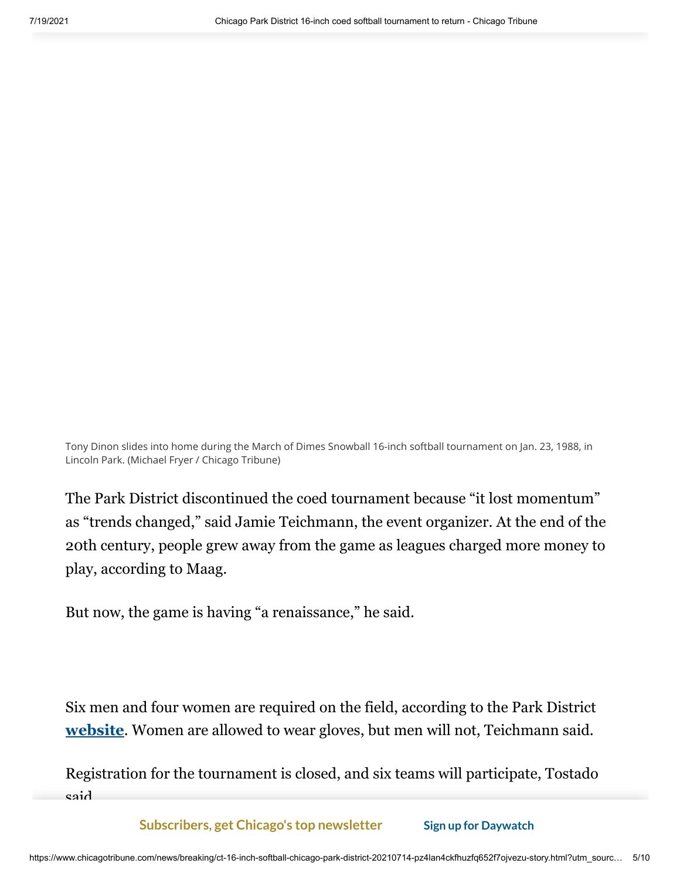Tony Dinon slides into home during the March of Dimes Snowball 16-inch softball tournament on Jan. 23, 1988, in Lincoln Park. (Michael Fryer / Chicago Tribune)

The Park District discontinued the coed tournament because "it lost momentum" as "trends changed," said Jamie Teichmann, the event organizer. At the end of the 20th century, people grew away from the game as leagues charged more money to play, according to Maag.

But now, the game is having "a renaissance," he said.

Six men and four women are required on the field, according to the Park District **[website](https://www.chicagoparkdistrict.com/ASCT)**. Women are allowed to wear gloves, but men will not, Teichmann said.

Registration for the tournament is closed, and six teams will participate, Tostado said.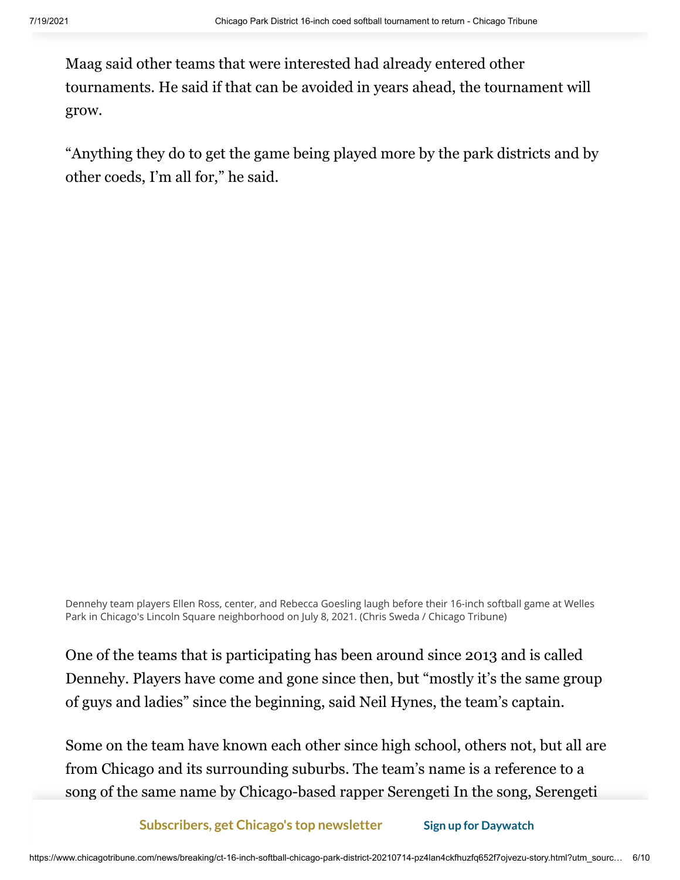Maag said other teams that were interested had already entered other tournaments. He said if that can be avoided in years ahead, the tournament will grow.

"Anything they do to get the game being played more by the park districts and by other coeds, I'm all for," he said.

Dennehy team players Ellen Ross, center, and Rebecca Goesling laugh before their 16-inch softball game at Welles Park in Chicago's Lincoln Square neighborhood on July 8, 2021. (Chris Sweda / Chicago Tribune)

One of the teams that is participating has been around since 2013 and is called Dennehy. Players have come and gone since then, but "mostly it's the same group of guys and ladies" since the beginning, said Neil Hynes, the team's captain.

Some on the team have known each other since high school, others not, but all are from Chicago and its surrounding suburbs. The team's name is a reference to a song of the same name by Chicago-based rapper Serengeti In the song, Serengeti

takes on the identity of his alter ego, Kenny Dennis a [middle-aged mustac](https://membership.chicagotribune.com/newsletters/subscribe/lid/1a79961b-e2e4-4b89-ad70-bf25a8f01cfa#int=toaster_digital_popnl_daywatch_)hioed **Subscribers, get Chicago's top newsletter Sign up for Daywatch**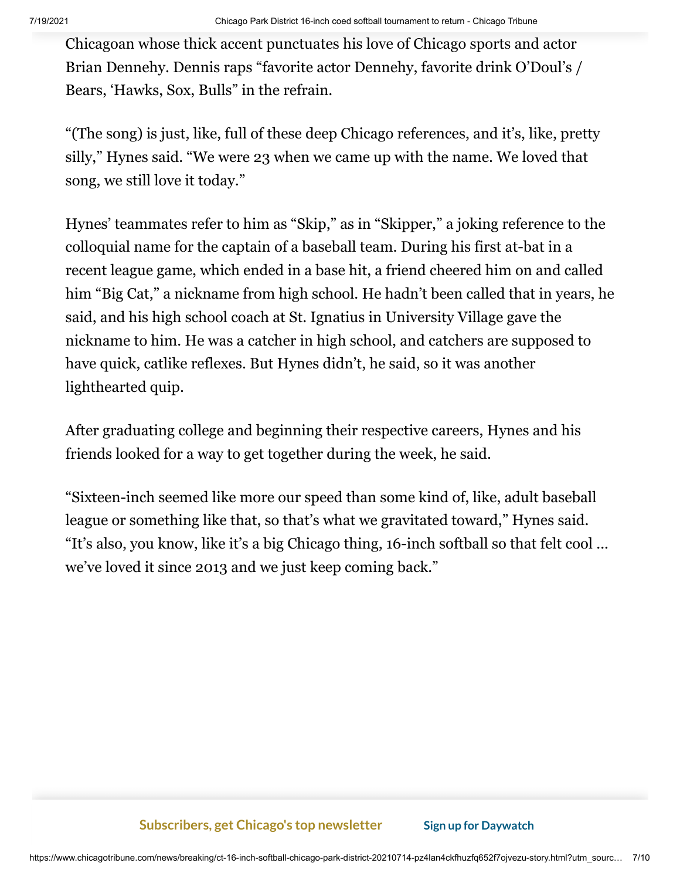Chicagoan whose thick accent punctuates his love of Chicago sports and actor Brian Dennehy. Dennis raps "favorite actor Dennehy, favorite drink O'Doul's / Bears, 'Hawks, Sox, Bulls" in the refrain.

"(The song) is just, like, full of these deep Chicago references, and it's, like, pretty silly," Hynes said. "We were 23 when we came up with the name. We loved that song, we still love it today."

Hynes' teammates refer to him as "Skip," as in "Skipper," a joking reference to the colloquial name for the captain of a baseball team. During his first at-bat in a recent league game, which ended in a base hit, a friend cheered him on and called him "Big Cat," a nickname from high school. He hadn't been called that in years, he said, and his high school coach at St. Ignatius in University Village gave the nickname to him. He was a catcher in high school, and catchers are supposed to have quick, catlike reflexes. But Hynes didn't, he said, so it was another lighthearted quip.

After graduating college and beginning their respective careers, Hynes and his friends looked for a way to get together during the week, he said.

"Sixteen-inch seemed like more our speed than some kind of, like, adult baseball league or something like that, so that's what we gravitated toward," Hynes said. "It's also, you know, like it's a big Chicago thing, 16-inch softball so that felt cool ... we've loved it since 2013 and we just keep coming back."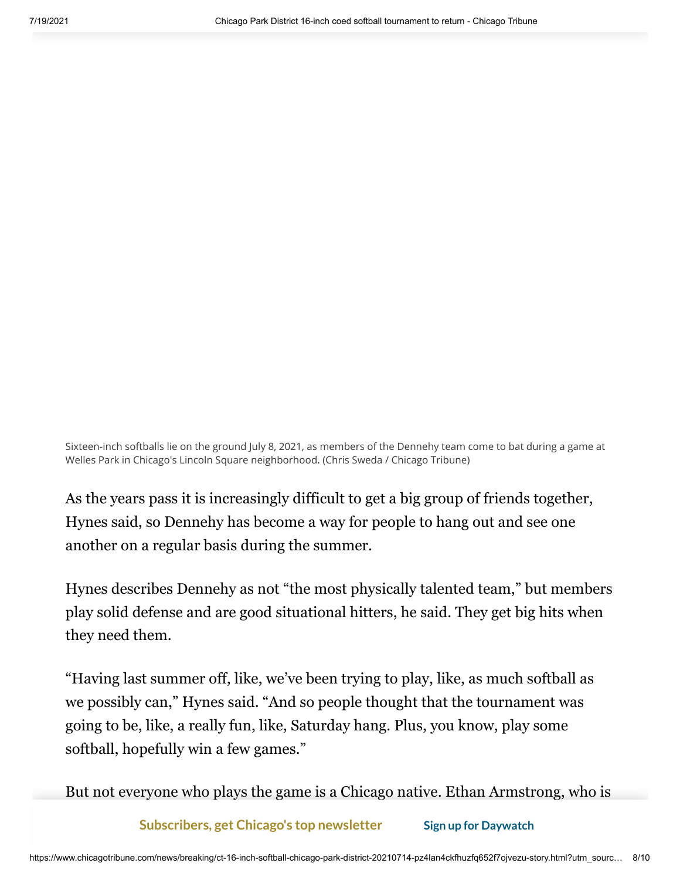Sixteen-inch softballs lie on the ground July 8, 2021, as members of the Dennehy team come to bat during a game at Welles Park in Chicago's Lincoln Square neighborhood. (Chris Sweda / Chicago Tribune)

As the years pass it is increasingly difficult to get a big group of friends together, Hynes said, so Dennehy has become a way for people to hang out and see one another on a regular basis during the summer.

Hynes describes Dennehy as not "the most physically talented team," but members play solid defense and are good situational hitters, he said. They get big hits when they need them.

"Having last summer off, like, we've been trying to play, like, as much softball as we possibly can," Hynes said. "And so people thought that the tournament was going to be, like, a really fun, like, Saturday hang. Plus, you know, play some softball, hopefully win a few games."

But not everyone who plays the game is a Chicago native. Ethan Armstrong, who is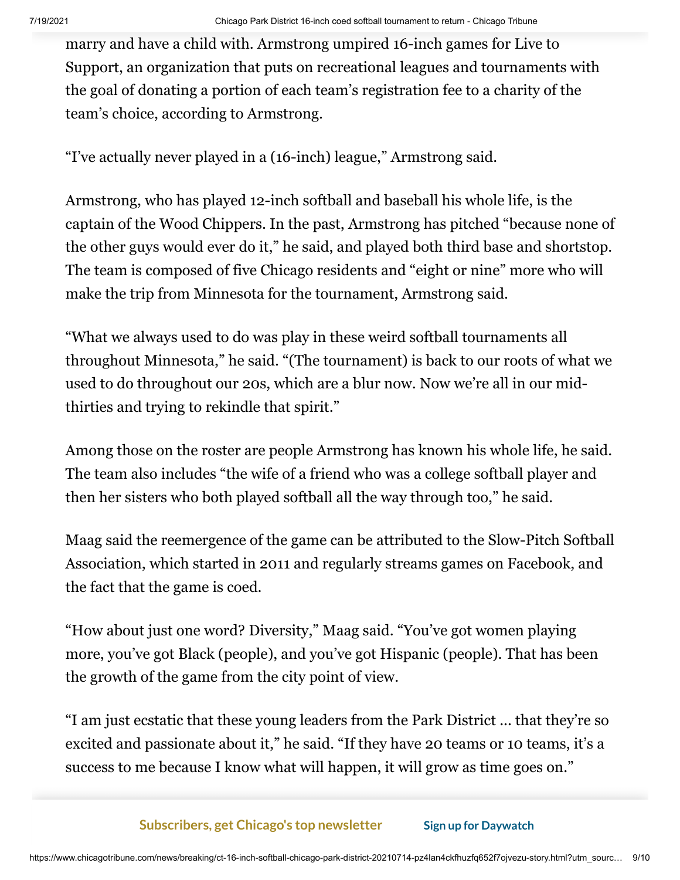marry and have a child with. Armstrong umpired 16-inch games for Live to Support, an organization that puts on recreational leagues and tournaments with the goal of donating a portion of each team's registration fee to a charity of the team's choice, according to Armstrong.

"I've actually never played in a (16-inch) league," Armstrong said.

Armstrong, who has played 12-inch softball and baseball his whole life, is the captain of the Wood Chippers. In the past, Armstrong has pitched "because none of the other guys would ever do it," he said, and played both third base and shortstop. The team is composed of five Chicago residents and "eight or nine" more who will make the trip from Minnesota for the tournament, Armstrong said.

"What we always used to do was play in these weird softball tournaments all throughout Minnesota," he said. "(The tournament) is back to our roots of what we used to do throughout our 20s, which are a blur now. Now we're all in our midthirties and trying to rekindle that spirit."

Among those on the roster are people Armstrong has known his whole life, he said. The team also includes "the wife of a friend who was a college softball player and then her sisters who both played softball all the way through too," he said.

Maag said the reemergence of the game can be attributed to the Slow-Pitch Softball Association, which started in 2011 and regularly streams games on Facebook, and the fact that the game is coed.

"How about just one word? Diversity," Maag said. "You've got women playing more, you've got Black (people), and you've got Hispanic (people). That has been the growth of the game from the city point of view.

"I am just ecstatic that these young leaders from the Park District ... that they're so excited and passionate about it," he said. "If they have 20 teams or 10 teams, it's a success to me because I know what will happen, it will grow as time goes on."